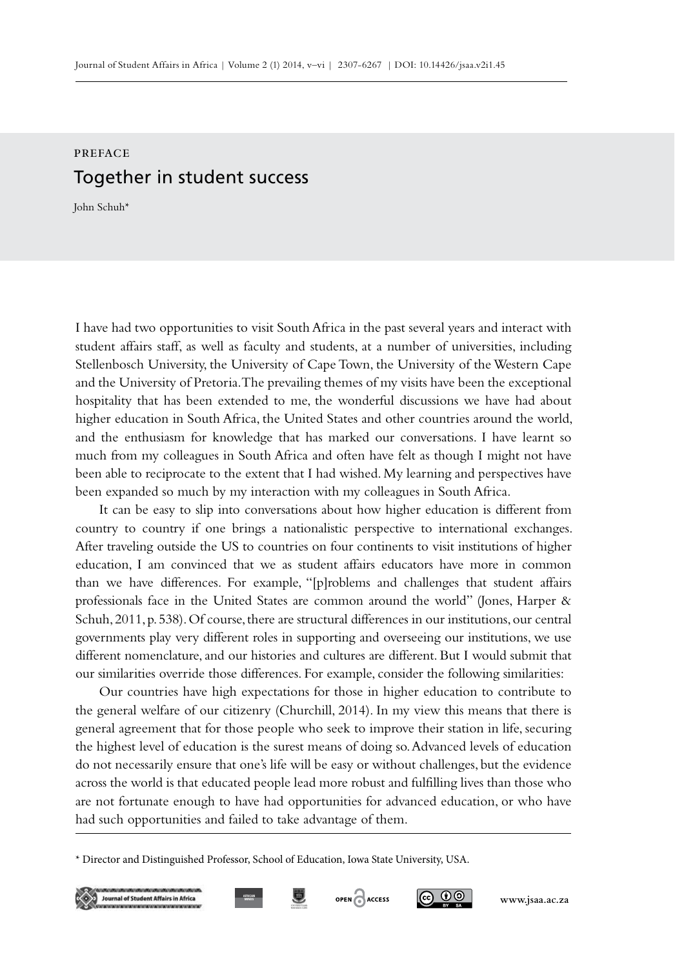## preface Together in student success

John Schuh\*

I have had two opportunities to visit South Africa in the past several years and interact with student affairs staff, as well as faculty and students, at a number of universities, including Stellenbosch University, the University of Cape Town, the University of the Western Cape and the University of Pretoria. The prevailing themes of my visits have been the exceptional hospitality that has been extended to me, the wonderful discussions we have had about higher education in South Africa, the United States and other countries around the world, and the enthusiasm for knowledge that has marked our conversations. I have learnt so much from my colleagues in South Africa and often have felt as though I might not have been able to reciprocate to the extent that I had wished. My learning and perspectives have been expanded so much by my interaction with my colleagues in South Africa.

It can be easy to slip into conversations about how higher education is different from country to country if one brings a nationalistic perspective to international exchanges. After traveling outside the US to countries on four continents to visit institutions of higher education, I am convinced that we as student affairs educators have more in common than we have differences. For example, "[p]roblems and challenges that student affairs professionals face in the United States are common around the world" (Jones, Harper & Schuh, 2011, p. 538). Of course, there are structural differences in our institutions, our central governments play very different roles in supporting and overseeing our institutions, we use different nomenclature, and our histories and cultures are different. But I would submit that our similarities override those differences. For example, consider the following similarities:

Our countries have high expectations for those in higher education to contribute to the general welfare of our citizenry (Churchill, 2014). In my view this means that there is general agreement that for those people who seek to improve their station in life, securing the highest level of education is the surest means of doing so. Advanced levels of education do not necessarily ensure that one's life will be easy or without challenges, but the evidence across the world is that educated people lead more robust and fulfilling lives than those who are not fortunate enough to have had opportunities for advanced education, or who have had such opportunities and failed to take advantage of them.

\* Director and Distinguished Professor, School of Education, Iowa State University, USA.







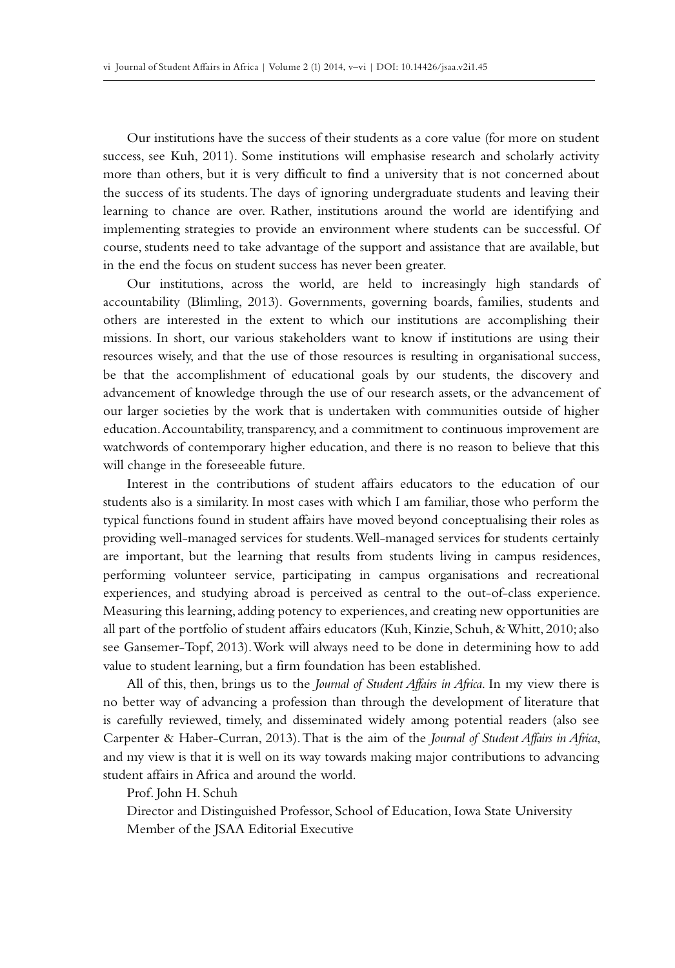Our institutions have the success of their students as a core value (for more on student success, see Kuh, 2011). Some institutions will emphasise research and scholarly activity more than others, but it is very difficult to find a university that is not concerned about the success of its students. The days of ignoring undergraduate students and leaving their learning to chance are over. Rather, institutions around the world are identifying and implementing strategies to provide an environment where students can be successful. Of course, students need to take advantage of the support and assistance that are available, but in the end the focus on student success has never been greater.

Our institutions, across the world, are held to increasingly high standards of accountability (Blimling, 2013). Governments, governing boards, families, students and others are interested in the extent to which our institutions are accomplishing their missions. In short, our various stakeholders want to know if institutions are using their resources wisely, and that the use of those resources is resulting in organisational success, be that the accomplishment of educational goals by our students, the discovery and advancement of knowledge through the use of our research assets, or the advancement of our larger societies by the work that is undertaken with communities outside of higher education. Accountability, transparency, and a commitment to continuous improvement are watchwords of contemporary higher education, and there is no reason to believe that this will change in the foreseeable future.

Interest in the contributions of student affairs educators to the education of our students also is a similarity. In most cases with which I am familiar, those who perform the typical functions found in student affairs have moved beyond conceptualising their roles as providing well-managed services for students. Well-managed services for students certainly are important, but the learning that results from students living in campus residences, performing volunteer service, participating in campus organisations and recreational experiences, and studying abroad is perceived as central to the out-of-class experience. Measuring this learning, adding potency to experiences, and creating new opportunities are all part of the portfolio of student affairs educators (Kuh, Kinzie, Schuh, & Whitt, 2010; also see Gansemer-Topf, 2013). Work will always need to be done in determining how to add value to student learning, but a firm foundation has been established.

All of this, then, brings us to the *Journal of Student Affairs in Africa*. In my view there is no better way of advancing a profession than through the development of literature that is carefully reviewed, timely, and disseminated widely among potential readers (also see Carpenter & Haber-Curran, 2013). That is the aim of the *Journal of Student Affairs in Africa*, and my view is that it is well on its way towards making major contributions to advancing student affairs in Africa and around the world.

## Prof. John H. Schuh

Director and Distinguished Professor, School of Education, Iowa State University Member of the JSAA Editorial Executive